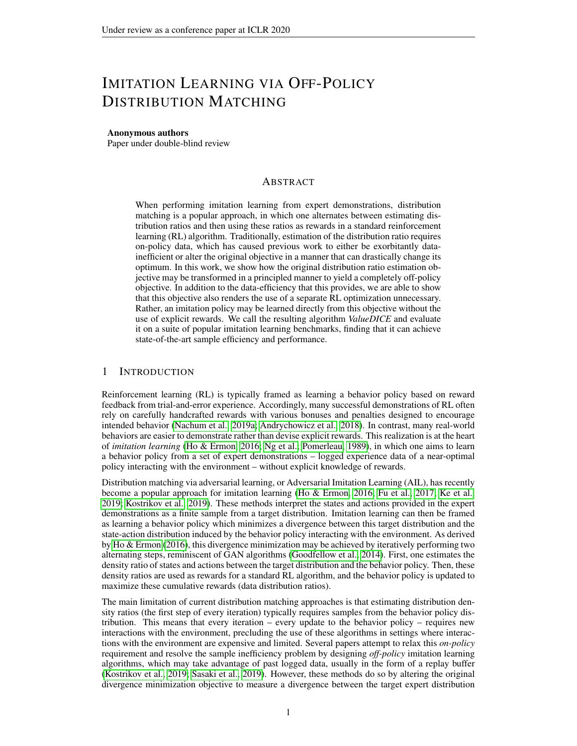# IMITATION LEARNING VIA OFF-POLICY DISTRIBUTION MATCHING

### Anonymous authors

Paper under double-blind review

# ABSTRACT

When performing imitation learning from expert demonstrations, distribution matching is a popular approach, in which one alternates between estimating distribution ratios and then using these ratios as rewards in a standard reinforcement learning (RL) algorithm. Traditionally, estimation of the distribution ratio requires on-policy data, which has caused previous work to either be exorbitantly datainefficient or alter the original objective in a manner that can drastically change its optimum. In this work, we show how the original distribution ratio estimation objective may be transformed in a principled manner to yield a completely off-policy objective. In addition to the data-efficiency that this provides, we are able to show that this objective also renders the use of a separate RL optimization unnecessary. Rather, an imitation policy may be learned directly from this objective without the use of explicit rewards. We call the resulting algorithm *ValueDICE* and evaluate it on a suite of popular imitation learning benchmarks, finding that it can achieve state-of-the-art sample efficiency and performance.

### 1 INTRODUCTION

Reinforcement learning (RL) is typically framed as learning a behavior policy based on reward feedback from trial-and-error experience. Accordingly, many successful demonstrations of RL often rely on carefully handcrafted rewards with various bonuses and penalties designed to encourage intended behavior [\(Nachum et al., 2019a;](#page-9-0) [Andrychowicz et al., 2018\)](#page-8-0). In contrast, many real-world behaviors are easier to demonstrate rather than devise explicit rewards. This realization is at the heart of *imitation learning* [\(Ho & Ermon, 2016;](#page-8-1) [Ng et al.;](#page-9-1) [Pomerleau, 1989\)](#page-9-2), in which one aims to learn a behavior policy from a set of expert demonstrations – logged experience data of a near-optimal policy interacting with the environment – without explicit knowledge of rewards.

Distribution matching via adversarial learning, or Adversarial Imitation Learning (AIL), has recently become a popular approach for imitation learning [\(Ho & Ermon, 2016;](#page-8-1) [Fu et al., 2017;](#page-8-2) [Ke et al.,](#page-8-3) [2019;](#page-8-3) [Kostrikov et al., 2019\)](#page-9-3). These methods interpret the states and actions provided in the expert demonstrations as a finite sample from a target distribution. Imitation learning can then be framed as learning a behavior policy which minimizes a divergence between this target distribution and the state-action distribution induced by the behavior policy interacting with the environment. As derived by [Ho & Ermon](#page-8-1) [\(2016\)](#page-8-1), this divergence minimization may be achieved by iteratively performing two alternating steps, reminiscent of GAN algorithms [\(Goodfellow et al., 2014\)](#page-8-4). First, one estimates the density ratio of states and actions between the target distribution and the behavior policy. Then, these density ratios are used as rewards for a standard RL algorithm, and the behavior policy is updated to maximize these cumulative rewards (data distribution ratios).

The main limitation of current distribution matching approaches is that estimating distribution density ratios (the first step of every iteration) typically requires samples from the behavior policy distribution. This means that every iteration – every update to the behavior policy – requires new interactions with the environment, precluding the use of these algorithms in settings where interactions with the environment are expensive and limited. Several papers attempt to relax this *on-policy* requirement and resolve the sample inefficiency problem by designing *off-policy* imitation learning algorithms, which may take advantage of past logged data, usually in the form of a replay buffer [\(Kostrikov et al., 2019;](#page-9-3) [Sasaki et al., 2019\)](#page-9-4). However, these methods do so by altering the original divergence minimization objective to measure a divergence between the target expert distribution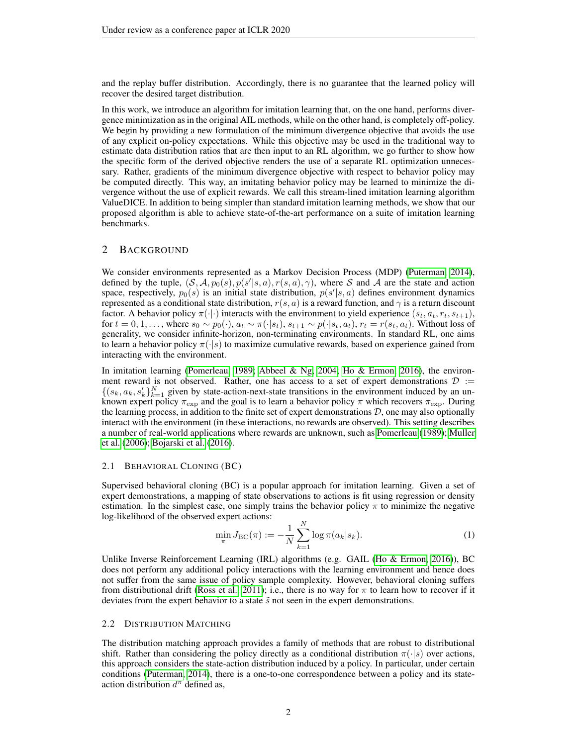and the replay buffer distribution. Accordingly, there is no guarantee that the learned policy will recover the desired target distribution.

In this work, we introduce an algorithm for imitation learning that, on the one hand, performs divergence minimization as in the original AIL methods, while on the other hand, is completely off-policy. We begin by providing a new formulation of the minimum divergence objective that avoids the use of any explicit on-policy expectations. While this objective may be used in the traditional way to estimate data distribution ratios that are then input to an RL algorithm, we go further to show how the specific form of the derived objective renders the use of a separate RL optimization unnecessary. Rather, gradients of the minimum divergence objective with respect to behavior policy may be computed directly. This way, an imitating behavior policy may be learned to minimize the divergence without the use of explicit rewards. We call this stream-lined imitation learning algorithm ValueDICE. In addition to being simpler than standard imitation learning methods, we show that our proposed algorithm is able to achieve state-of-the-art performance on a suite of imitation learning benchmarks.

### 2 BACKGROUND

We consider environments represented as a Markov Decision Process (MDP) [\(Puterman, 2014\)](#page-9-5), defined by the tuple,  $(S, A, p_0(s), p(s'|s, a), r(s, a), \gamma)$ , where S and A are the state and action space, respectively,  $p_0(s)$  is an initial state distribution,  $p(s'|s, a)$  defines environment dynamics represented as a conditional state distribution,  $r(s, a)$  is a reward function, and  $\gamma$  is a return discount factor. A behavior policy  $\pi(\cdot|\cdot)$  interacts with the environment to yield experience  $(s_t, a_t, r_t, s_{t+1}),$ for  $t = 0, 1, \ldots$ , where  $s_0 \sim p_0(\cdot)$ ,  $a_t \sim \pi(\cdot | s_t)$ ,  $s_{t+1} \sim p(\cdot | s_t, a_t)$ ,  $r_t = r(s_t, a_t)$ . Without loss of generality, we consider infinite-horizon, non-terminating environments. In standard RL, one aims to learn a behavior policy  $\pi(\cdot|s)$  to maximize cumulative rewards, based on experience gained from interacting with the environment.

In imitation learning [\(Pomerleau, 1989;](#page-9-2) [Abbeel & Ng, 2004;](#page-8-5) [Ho & Ermon, 2016\)](#page-8-1), the environment reward is not observed. Rather, one has access to a set of expert demonstrations  $\mathcal{D}$  :=  $\{(s_k, a_k, s'_k\}_{k=1}^N$  given by state-action-next-state transitions in the environment induced by an unknown expert policy  $\pi_{\text{exp}}$  and the goal is to learn a behavior policy  $\pi$  which recovers  $\pi_{\text{exp}}$ . During the learning process, in addition to the finite set of expert demonstrations  $D$ , one may also optionally interact with the environment (in these interactions, no rewards are observed). This setting describes a number of real-world applications where rewards are unknown, such as [Pomerleau](#page-9-2) [\(1989\)](#page-9-2); [Muller](#page-9-6) [et al.](#page-9-6) [\(2006\)](#page-9-6); [Bojarski et al.](#page-8-6) [\(2016\)](#page-8-6).

### 2.1 BEHAVIORAL CLONING (BC)

Supervised behavioral cloning (BC) is a popular approach for imitation learning. Given a set of expert demonstrations, a mapping of state observations to actions is fit using regression or density estimation. In the simplest case, one simply trains the behavior policy  $\pi$  to minimize the negative log-likelihood of the observed expert actions:

$$
\min_{\pi} J_{\rm BC}(\pi) := -\frac{1}{N} \sum_{k=1}^{N} \log \pi(a_k|s_k).
$$
 (1)

Unlike Inverse Reinforcement Learning (IRL) algorithms (e.g. GAIL [\(Ho & Ermon, 2016\)](#page-8-1)), BC does not perform any additional policy interactions with the learning environment and hence does not suffer from the same issue of policy sample complexity. However, behavioral cloning suffers from distributional drift [\(Ross et al., 2011\)](#page-9-7); i.e., there is no way for  $\pi$  to learn how to recover if it deviates from the expert behavior to a state  $\tilde{s}$  not seen in the expert demonstrations.

#### 2.2 DISTRIBUTION MATCHING

The distribution matching approach provides a family of methods that are robust to distributional shift. Rather than considering the policy directly as a conditional distribution  $\pi(\cdot|s)$  over actions, this approach considers the state-action distribution induced by a policy. In particular, under certain conditions [\(Puterman, 2014\)](#page-9-5), there is a one-to-one correspondence between a policy and its stateaction distribution  $d^{\pi}$  defined as,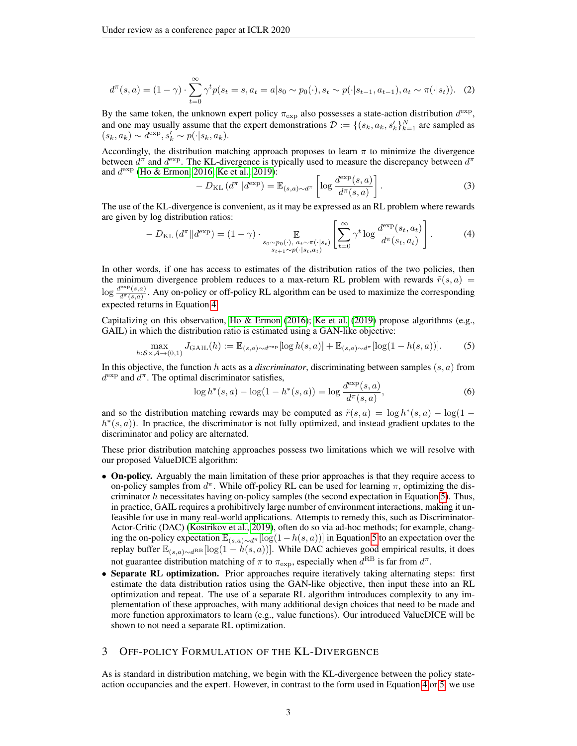$$
d^{\pi}(s, a) = (1 - \gamma) \cdot \sum_{t=0}^{\infty} \gamma^t p(s_t = s, a_t = a | s_0 \sim p_0(\cdot), s_t \sim p(\cdot | s_{t-1}, a_{t-1}), a_t \sim \pi(\cdot | s_t)). \tag{2}
$$

By the same token, the unknown expert policy  $\pi_{\exp}$  also possesses a state-action distribution  $d^{\exp}$ , and one may usually assume that the expert demonstrations  $\mathcal{D} := \{(s_k, a_k, s'_k\}_{k=1}^N\}$  are sampled as  $(s_k, a_k) \sim d^{\exp}, s'_k \sim p(\cdot | s_k, a_k).$ 

Accordingly, the distribution matching approach proposes to learn  $\pi$  to minimize the divergence between  $d^{\pi}$  and  $d^{\exp}$ . The KL-divergence is typically used to measure the discrepancy between  $d^{\pi}$ and  $d^{\text{exp}}$  [\(Ho & Ermon, 2016;](#page-8-1) [Ke et al., 2019\)](#page-8-3):

$$
-D_{\text{KL}}\left(d^{\pi}||d^{\text{exp}}\right) = \mathbb{E}_{(s,a)\sim d^{\pi}}\left[\log \frac{d^{\text{exp}}(s,a)}{d^{\pi}(s,a)}\right].
$$
\n(3)

The use of the KL-divergence is convenient, as it may be expressed as an RL problem where rewards are given by log distribution ratios:  $\mathsf{r}_{\infty}$ 

<span id="page-2-0"></span>
$$
-D_{\text{KL}}\left(d^{\pi}||d^{\text{exp}}\right) = (1 - \gamma) \cdot \mathop{\mathbb{E}}_{\substack{s_0 \sim p_0(\cdot), a_t \sim \pi(\cdot|s_t) \\ s_{t+1} \sim p(\cdot|s_t, a_t)}} \left[\sum_{t=0}^{\infty} \gamma^t \log \frac{d^{\text{exp}}(s_t, a_t)}{d^{\pi}(s_t, a_t)}\right].
$$
 (4)

In other words, if one has access to estimates of the distribution ratios of the two policies, then the minimum divergence problem reduces to a max-return RL problem with rewards  $\tilde{r}(s, a)$  =  $\log \frac{d^{\exp}(s,a)}{d^{\pi}(s,a)}$  $\frac{d\bar{d}(\bar{s},a)}{d\bar{d}(\bar{s},a)}$ . Any on-policy or off-policy RL algorithm can be used to maximize the corresponding expected returns in Equation [4.](#page-2-0)

Capitalizing on this observation, [Ho & Ermon](#page-8-1) [\(2016\)](#page-8-1); [Ke et al.](#page-8-3) [\(2019\)](#page-8-3) propose algorithms (e.g., GAIL) in which the distribution ratio is estimated using a GAN-like objective:

<span id="page-2-1"></span>
$$
\max_{h:S \times \mathcal{A} \to (0,1)} J_{\text{GAIL}}(h) := \mathbb{E}_{(s,a) \sim d^{\exp}}[\log h(s,a)] + \mathbb{E}_{(s,a) \sim d^{\pi}}[\log(1 - h(s,a))]. \tag{5}
$$

In this objective, the function h acts as a *discriminator*, discriminating between samples  $(s, a)$  from  $d^{\exp}$  and  $d^{\pi}$ . The optimal discriminator satisfies,

$$
\log h^*(s, a) - \log(1 - h^*(s, a)) = \log \frac{d^{\exp}(s, a)}{d^{\pi}(s, a)},
$$
\n(6)

and so the distribution matching rewards may be computed as  $\tilde{r}(s, a) = \log h^*(s, a) - \log(1 - \frac{1}{s})$  $h^*(s, a)$ ). In practice, the discriminator is not fully optimized, and instead gradient updates to the discriminator and policy are alternated.

These prior distribution matching approaches possess two limitations which we will resolve with our proposed ValueDICE algorithm:

- On-policy. Arguably the main limitation of these prior approaches is that they require access to on-policy samples from  $d^{\pi}$ . While off-policy RL can be used for learning  $\pi$ , optimizing the discriminator h necessitates having on-policy samples (the second expectation in Equation [5\)](#page-2-1). Thus, in practice, GAIL requires a prohibitively large number of environment interactions, making it unfeasible for use in many real-world applications. Attempts to remedy this, such as Discriminator-Actor-Critic (DAC) [\(Kostrikov et al., 2019\)](#page-9-3), often do so via ad-hoc methods; for example, changing the on-policy expectation  $\mathbb{E}_{(s,a)\sim d^{\pi}}[\log(1-h(s,a))]$  in Equation [5](#page-2-1) to an expectation over the replay buffer  $\mathbb{E}_{(s,a)\sim d^{RB}}[\log(1-h(s,a))]$ . While DAC achieves good empirical results, it does not guarantee distribution matching of  $\pi$  to  $\pi_{\exp}$ , especially when  $d^{\text{RB}}$  is far from  $d^{\pi}$ .
- Separate RL optimization. Prior approaches require iteratively taking alternating steps: first estimate the data distribution ratios using the GAN-like objective, then input these into an RL optimization and repeat. The use of a separate RL algorithm introduces complexity to any implementation of these approaches, with many additional design choices that need to be made and more function approximators to learn (e.g., value functions). Our introduced ValueDICE will be shown to not need a separate RL optimization.

### 3 OFF-POLICY FORMULATION OF THE KL-DIVERGENCE

As is standard in distribution matching, we begin with the KL-divergence between the policy stateaction occupancies and the expert. However, in contrast to the form used in Equation [4](#page-2-0) or [5,](#page-2-1) we use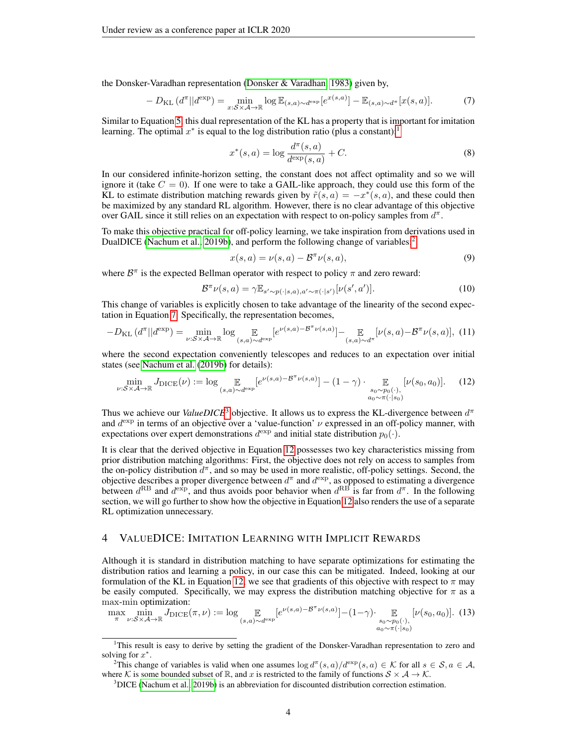the Donsker-Varadhan representation [\(Donsker & Varadhan, 1983\)](#page-8-7) given by,

<span id="page-3-2"></span>
$$
-D_{\mathrm{KL}}\left(d^{\pi}||d^{\mathrm{exp}}\right) = \min_{x:S\times\mathcal{A}\to\mathbb{R}}\log\mathbb{E}_{(s,a)\sim d^{\mathrm{exp}}}[e^{x(s,a)}] - \mathbb{E}_{(s,a)\sim d^{\pi}}[x(s,a)].\tag{7}
$$

Similar to Equation [5,](#page-2-1) this dual representation of the KL has a property that is important for imitation learning. The optimal  $x^*$  is equal to the log distribution ratio (plus a constant):<sup>[1](#page-3-0)</sup>

<span id="page-3-6"></span>
$$
x^*(s, a) = \log \frac{d^{\pi}(s, a)}{d^{\exp}(s, a)} + C.
$$
 (8)

In our considered infinite-horizon setting, the constant does not affect optimality and so we will ignore it (take  $C = 0$ ). If one were to take a GAIL-like approach, they could use this form of the KL to estimate distribution matching rewards given by  $\tilde{r}(s, a) = -x^*(s, a)$ , and these could then be maximized by any standard RL algorithm. However, there is no clear advantage of this objective over GAIL since it still relies on an expectation with respect to on-policy samples from  $d^{\pi}$ .

To make this objective practical for off-policy learning, we take inspiration from derivations used in DualDICE [\(Nachum et al., 2019b\)](#page-9-8), and perform the following change of variables:<sup>[2](#page-3-1)</sup>

<span id="page-3-5"></span>
$$
x(s,a) = \nu(s,a) - \mathcal{B}^{\pi}\nu(s,a),\tag{9}
$$

where  $\mathcal{B}^{\pi}$  is the expected Bellman operator with respect to policy  $\pi$  and zero reward:

$$
\mathcal{B}^{\pi}\nu(s,a) = \gamma \mathbb{E}_{s' \sim p(\cdot|s,a),a' \sim \pi(\cdot|s')}[\nu(s',a')].\tag{10}
$$

This change of variables is explicitly chosen to take advantage of the linearity of the second expectation in Equation [7.](#page-3-2) Specifically, the representation becomes,

$$
-D_{\mathrm{KL}}\left(d^{\pi}||d^{\mathrm{exp}}\right) = \min_{\nu:\mathcal{S}\times\mathcal{A}\to\mathbb{R}} \log \mathbb{E}_{(s,a)\sim d^{\mathrm{exp}}}[e^{\nu(s,a)-\mathcal{B}^{\pi}\nu(s,a)}] - \mathbb{E}_{(s,a)\sim d^{\pi}}[\nu(s,a)-\mathcal{B}^{\pi}\nu(s,a)], \tag{11}
$$

where the second expectation conveniently telescopes and reduces to an expectation over initial states (see [Nachum et al.](#page-9-8) [\(2019b\)](#page-9-8) for details):

<span id="page-3-4"></span>
$$
\min_{\nu:\mathcal{S}\times\mathcal{A}\to\mathbb{R}} J_{\text{DICE}}(\nu) := \log \mathop{\mathbb{E}}_{(s,a)\sim d^{\exp}}[e^{\nu(s,a)-\mathcal{B}^{\pi}\nu(s,a)}] - (1-\gamma) \cdot \mathop{\mathbb{E}}_{\substack{s_0\sim p_0(\cdot),\\a_0\sim\pi(\cdot|s_0)}}[\nu(s_0,a_0)].\tag{12}
$$

Thus we achieve our *ValueDICE*<sup>[3](#page-3-3)</sup> objective. It allows us to express the KL-divergence between  $d^{\pi}$ and  $d^{\text{exp}}$  in terms of an objective over a 'value-function'  $\nu$  expressed in an off-policy manner, with expectations over expert demonstrations  $d^{\text{exp}}$  and initial state distribution  $p_0(\cdot)$ .

It is clear that the derived objective in Equation [12](#page-3-4) possesses two key characteristics missing from prior distribution matching algorithms: First, the objective does not rely on access to samples from the on-policy distribution  $d^{\pi}$ , and so may be used in more realistic, off-policy settings. Second, the objective describes a proper divergence between  $d^{\pi}$  and  $d^{\exp}$ , as opposed to estimating a divergence between  $d^{RB}$  and  $d^{exp}$ , and thus avoids poor behavior when  $d^{RB}$  is far from  $d^{\pi}$ . In the following section, we will go further to show how the objective in Equation [12](#page-3-4) also renders the use of a separate RL optimization unnecessary.

# 4 VALUEDICE: IMITATION LEARNING WITH IMPLICIT REWARDS

Although it is standard in distribution matching to have separate optimizations for estimating the distribution ratios and learning a policy, in our case this can be mitigated. Indeed, looking at our formulation of the KL in Equation [12,](#page-3-4) we see that gradients of this objective with respect to  $\pi$  may be easily computed. Specifically, we may express the distribution matching objective for  $\pi$  as a max-min optimization:

<span id="page-3-7"></span>
$$
\max_{\substack{\pi \\ \pi}} \min_{\substack{\nu : S \times A \to \mathbb{R} \\ \nu : S \times A \to \mathbb{R}}} J_{\text{DICE}}(\pi, \nu) := \log \mathop{\mathbb{E}}_{(s, a) \sim d^{\exp}}[e^{\nu(s, a) - \mathcal{B}^{\pi} \nu(s, a)}] - (1 - \gamma) \mathop{\mathbb{E}}_{\substack{s_0 \sim p_0(\cdot), \\ a_0 \sim \pi(\cdot \mid s_0)}}[\nu(s_0, a_0)]. \tag{13}
$$

<span id="page-3-0"></span><sup>1</sup>This result is easy to derive by setting the gradient of the Donsker-Varadhan representation to zero and solving for  $x^*$ .

<span id="page-3-1"></span><sup>&</sup>lt;sup>2</sup>This change of variables is valid when one assumes  $\log d^{\pi}(s, a)/d^{\exp}(s, a) \in \mathcal{K}$  for all  $s \in \mathcal{S}, a \in \mathcal{A}$ , where K is some bounded subset of R, and x is restricted to the family of functions  $S \times A \rightarrow K$ .

<span id="page-3-3"></span> $3$ DICE [\(Nachum et al., 2019b\)](#page-9-8) is an abbreviation for discounted distribution correction estimation.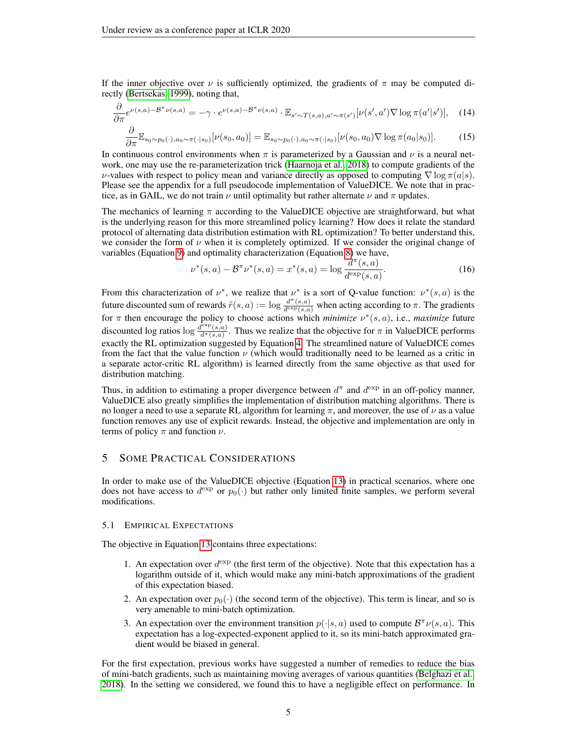If the inner objective over  $\nu$  is sufficiently optimized, the gradients of  $\pi$  may be computed directly [\(Bertsekas, 1999\)](#page-8-8), noting that,

$$
\frac{\partial}{\partial \pi} e^{\nu(s,a) - \mathcal{B}^{\pi}\nu(s,a)} = -\gamma \cdot e^{\nu(s,a) - \mathcal{B}^{\pi}\nu(s,a)} \cdot \mathbb{E}_{s' \sim T(s,a), a' \sim \pi(s')} [\nu(s',a')\nabla \log \pi(a'|s')], \quad (14)
$$

$$
\frac{\partial}{\partial \pi} \mathbb{E}_{s_0 \sim p_0(\cdot), a_0 \sim \pi(\cdot|s_0)} [\nu(s_0, a_0)] = \mathbb{E}_{s_0 \sim p_0(\cdot), a_0 \sim \pi(\cdot|s_0)} [\nu(s_0, a_0) \nabla \log \pi(a_0|s_0)]. \tag{15}
$$

In continuous control environments when  $\pi$  is parameterized by a Gaussian and  $\nu$  is a neural network, one may use the re-parameterization trick [\(Haarnoja et al., 2018\)](#page-8-9) to compute gradients of the *ν*-values with respect to policy mean and variance directly as opposed to computing  $\nabla$  log  $\pi(a|s)$ . Please see the appendix for a full pseudocode implementation of ValueDICE. We note that in practice, as in GAIL, we do not train  $\nu$  until optimality but rather alternate  $\nu$  and  $\pi$  updates.

The mechanics of learning  $\pi$  according to the ValueDICE objective are straightforward, but what is the underlying reason for this more streamlined policy learning? How does it relate the standard protocol of alternating data distribution estimation with RL optimization? To better understand this, we consider the form of  $\nu$  when it is completely optimized. If we consider the original change of variables (Equation [9\)](#page-3-5) and optimality characterization (Equation [8\)](#page-3-6) we have,

$$
\nu^*(s, a) - \mathcal{B}^\pi \nu^*(s, a) = x^*(s, a) = \log \frac{d^\pi(s, a)}{d^{\exp}(s, a)}.
$$
 (16)

From this characterization of  $\nu^*$ , we realize that  $\nu^*$  is a sort of Q-value function:  $\nu^*(s, a)$  is the future discounted sum of rewards  $\tilde{r}(s, a) := \log \frac{d^{\pi}(s, a)}{d^{\exp}(s, a)}$  when acting according to  $\pi$ . The gradients for  $\pi$  then encourage the policy to choose actions which *minimize*  $\nu^*(s, a)$ , i.e., *maximize* future discounted log ratios  $\log \frac{d^{\exp}(s, a)}{d^{\pi}(s, a)}$  $\frac{d\bar{d}^{(s)}(s,a)}{d\bar{d}^{(s)}(s,a)}$ . Thus we realize that the objective for  $\pi$  in ValueDICE performs exactly the RL optimization suggested by Equation [4.](#page-2-0) The streamlined nature of ValueDICE comes from the fact that the value function  $\nu$  (which would traditionally need to be learned as a critic in a separate actor-critic RL algorithm) is learned directly from the same objective as that used for distribution matching.

Thus, in addition to estimating a proper divergence between  $d^{\pi}$  and  $d^{\exp}$  in an off-policy manner, ValueDICE also greatly simplifies the implementation of distribution matching algorithms. There is no longer a need to use a separate RL algorithm for learning  $\pi$ , and moreover, the use of  $\nu$  as a value function removes any use of explicit rewards. Instead, the objective and implementation are only in terms of policy  $\pi$  and function  $\nu$ .

# 5 SOME PRACTICAL CONSIDERATIONS

In order to make use of the ValueDICE objective (Equation [13\)](#page-3-7) in practical scenarios, where one does not have access to  $d^{\exp}$  or  $p_0(\cdot)$  but rather only limited finite samples, we perform several modifications.

### 5.1 EMPIRICAL EXPECTATIONS

The objective in Equation [13](#page-3-7) contains three expectations:

- 1. An expectation over  $d^{\text{exp}}$  (the first term of the objective). Note that this expectation has a logarithm outside of it, which would make any mini-batch approximations of the gradient of this expectation biased.
- 2. An expectation over  $p_0(\cdot)$  (the second term of the objective). This term is linear, and so is very amenable to mini-batch optimization.
- 3. An expectation over the environment transition  $p(\cdot|s, a)$  used to compute  $\mathcal{B}^{\pi} \nu(s, a)$ . This expectation has a log-expected-exponent applied to it, so its mini-batch approximated gradient would be biased in general.

For the first expectation, previous works have suggested a number of remedies to reduce the bias of mini-batch gradients, such as maintaining moving averages of various quantities [\(Belghazi et al.,](#page-8-10) [2018\)](#page-8-10). In the setting we considered, we found this to have a negligible effect on performance. In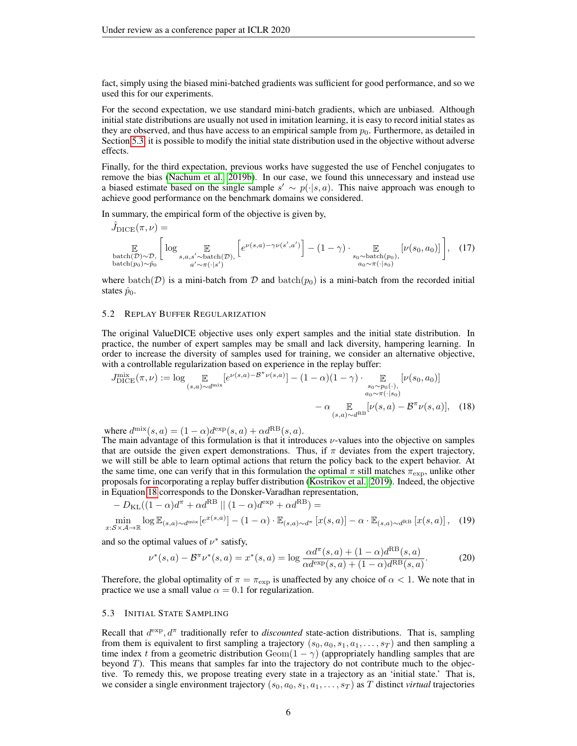fact, simply using the biased mini-batched gradients was sufficient for good performance, and so we used this for our experiments.

For the second expectation, we use standard mini-batch gradients, which are unbiased. Although initial state distributions are usually not used in imitation learning, it is easy to record initial states as they are observed, and thus have access to an empirical sample from  $p_0$ . Furthermore, as detailed in Section [5.3,](#page-5-0) it is possible to modify the initial state distribution used in the objective without adverse effects.

Finally, for the third expectation, previous works have suggested the use of Fenchel conjugates to remove the bias [\(Nachum et al., 2019b\)](#page-9-8). In our case, we found this unnecessary and instead use a biased estimate based on the single sample  $s' \sim p(\cdot|s, a)$ . This naive approach was enough to achieve good performance on the benchmark domains we considered.

In summary, the empirical form of the objective is given by,

$$
\hat{J}_{\text{DICE}}(\pi, \nu) = \mathbb{E}_{\substack{\text{batch}(\mathcal{D}) \sim \mathcal{D}, \\ \text{batch}(\mathcal{D}) \sim \hat{\mathcal{P}}_0}} \left[ \log \mathbb{E}_{s, a, s' \sim \text{batch}(\mathcal{D}), \atop a' \sim \pi(\cdot | s')} \left[ e^{\nu(s, a) - \gamma \nu(s', a')} \right] - (1 - \gamma) \cdot \mathbb{E}_{s_0 \sim \text{batch}(p_0), \atop a_0 \sim \pi(\cdot | s_0)} \left[ \nu(s_0, a_0) \right] \right], \quad (17)
$$

where batch(D) is a mini-batch from D and batch( $p_0$ ) is a mini-batch from the recorded initial states  $\hat{p}_0$ .

#### 5.2 REPLAY BUFFER REGULARIZATION

The original ValueDICE objective uses only expert samples and the initial state distribution. In practice, the number of expert samples may be small and lack diversity, hampering learning. In order to increase the diversity of samples used for training, we consider an alternative objective, with a controllable regularization based on experience in the replay buffer:

$$
J_{\text{DICE}}^{\text{mix}}(\pi,\nu) := \log \mathop{\mathbb{E}}_{(s,a)\sim d^{\text{mix}}} [e^{\nu(s,a)-\mathcal{B}^{\pi}\nu(s,a)}] - (1-\alpha)(1-\gamma) \cdot \mathop{\mathbb{E}}_{\substack{s_0 \sim p_0(\cdot),\\a_0 \sim \pi(\cdot|s_0)\\a_0 \sim \pi(\cdot|s_0)}} [\nu(s_0, a_0)] - \alpha \mathop{\mathbb{E}}_{(s,a)\sim d^{\text{RB}}} [\nu(s,a)-\mathcal{B}^{\pi}\nu(s,a)], \quad (18)
$$

where  $d^{\text{mix}}(s, a) = (1 - \alpha)d^{\text{exp}}(s, a) + \alpha d^{\text{RB}}(s, a)$ .

The main advantage of this formulation is that it introduces ν-values into the objective on samples that are outside the given expert demonstrations. Thus, if  $\pi$  deviates from the expert trajectory, we will still be able to learn optimal actions that return the policy back to the expert behavior. At the same time, one can verify that in this formulation the optimal  $\pi$  still matches  $\pi_{\exp}$ , unlike other proposals for incorporating a replay buffer distribution [\(Kostrikov et al., 2019\)](#page-9-3). Indeed, the objective in Equation [18](#page-5-1) corresponds to the Donsker-Varadhan representation,

$$
-D_{\text{KL}}((1-\alpha)d^{\pi} + \alpha d^{\text{RB}} || (1-\alpha)d^{\text{exp}} + \alpha d^{\text{RB}}) =
$$
  
\n
$$
\min_{S \times \mathcal{A} \to \mathbb{R}} \log \mathbb{E}_{(s,a) \sim d^{\text{mix}}} [e^{x(s,a)}] - (1-\alpha) \cdot \mathbb{E}_{(s,a) \sim d^{\pi}} [x(s,a)] - \alpha \cdot \mathbb{E}_{(s,a) \sim d^{\text{RB}}} [x(s,a)], \quad (19)
$$

and so the optimal values of  $\nu^*$  satisfy,

 $x:$ 

<span id="page-5-1"></span>
$$
\nu^*(s, a) - \mathcal{B}^\pi \nu^*(s, a) = x^*(s, a) = \log \frac{\alpha d^\pi(s, a) + (1 - \alpha) d^{\text{RB}}(s, a)}{\alpha d^{\exp}(s, a) + (1 - \alpha) d^{\text{RB}}(s, a)}.
$$
(20)

Therefore, the global optimality of  $\pi = \pi_{\exp}$  is unaffected by any choice of  $\alpha < 1$ . We note that in practice we use a small value  $\alpha = 0.1$  for regularization.

#### <span id="page-5-0"></span>5.3 INITIAL STATE SAMPLING

Recall that  $d^{\exp}$ ,  $d^{\pi}$  traditionally refer to *discounted* state-action distributions. That is, sampling from them is equivalent to first sampling a trajectory  $(s_0, a_0, s_1, a_1, \ldots, s_T)$  and then sampling a time index t from a geometric distribution  $Geom(1 - \gamma)$  (appropriately handling samples that are beyond  $T$ ). This means that samples far into the trajectory do not contribute much to the objective. To remedy this, we propose treating every state in a trajectory as an 'initial state.' That is, we consider a single environment trajectory  $(s_0, a_0, s_1, a_1, \ldots, s_T)$  as T distinct *virtual* trajectories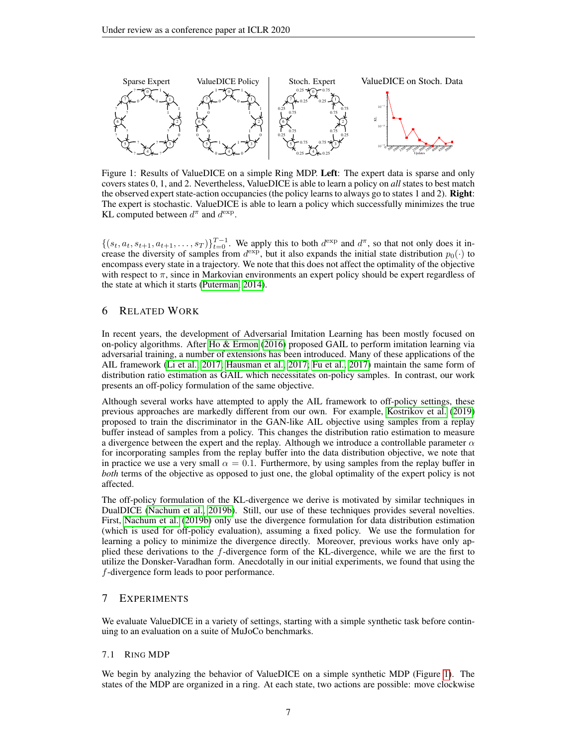<span id="page-6-0"></span>

Figure 1: Results of ValueDICE on a simple Ring MDP. Left: The expert data is sparse and only covers states 0, 1, and 2. Nevertheless, ValueDICE is able to learn a policy on *all* states to best match the observed expert state-action occupancies (the policy learns to always go to states 1 and 2). Right: The expert is stochastic. ValueDICE is able to learn a policy which successfully minimizes the true KL computed between  $d^{\pi}$  and  $d^{\exp}$ .

 $\{(s_t, a_t, s_{t+1}, a_{t+1}, \ldots, s_T)\}_{t=0}^{T-1}$ . We apply this to both  $d^{\exp}$  and  $d^{\pi}$ , so that not only does it increase the diversity of samples from  $d^{\text{exp}}$ , but it also expands the initial state distribution  $p_0(\cdot)$  to encompass every state in a trajectory. We note that this does not affect the optimality of the objective with respect to  $\pi$ , since in Markovian environments an expert policy should be expert regardless of the state at which it starts [\(Puterman, 2014\)](#page-9-5).

# 6 RELATED WORK

In recent years, the development of Adversarial Imitation Learning has been mostly focused on on-policy algorithms. After [Ho & Ermon](#page-8-1) [\(2016\)](#page-8-1) proposed GAIL to perform imitation learning via adversarial training, a number of extensions has been introduced. Many of these applications of the AIL framework [\(Li et al., 2017;](#page-9-9) [Hausman et al., 2017;](#page-8-11) [Fu et al., 2017\)](#page-8-2) maintain the same form of distribution ratio estimation as GAIL which necessitates on-policy samples. In contrast, our work presents an off-policy formulation of the same objective.

Although several works have attempted to apply the AIL framework to off-policy settings, these previous approaches are markedly different from our own. For example, [Kostrikov et al.](#page-9-3) [\(2019\)](#page-9-3) proposed to train the discriminator in the GAN-like AIL objective using samples from a replay buffer instead of samples from a policy. This changes the distribution ratio estimation to measure a divergence between the expert and the replay. Although we introduce a controllable parameter  $\alpha$ for incorporating samples from the replay buffer into the data distribution objective, we note that in practice we use a very small  $\alpha = 0.1$ . Furthermore, by using samples from the replay buffer in *both* terms of the objective as opposed to just one, the global optimality of the expert policy is not affected.

The off-policy formulation of the KL-divergence we derive is motivated by similar techniques in DualDICE [\(Nachum et al., 2019b\)](#page-9-8). Still, our use of these techniques provides several novelties. First, [Nachum et al.](#page-9-8) [\(2019b\)](#page-9-8) only use the divergence formulation for data distribution estimation (which is used for off-policy evaluation), assuming a fixed policy. We use the formulation for learning a policy to minimize the divergence directly. Moreover, previous works have only applied these derivations to the f-divergence form of the KL-divergence, while we are the first to utilize the Donsker-Varadhan form. Anecdotally in our initial experiments, we found that using the f-divergence form leads to poor performance.

# 7 EXPERIMENTS

We evaluate ValueDICE in a variety of settings, starting with a simple synthetic task before continuing to an evaluation on a suite of MuJoCo benchmarks.

### 7.1 RING MDP

We begin by analyzing the behavior of ValueDICE on a simple synthetic MDP (Figure [1\)](#page-6-0). The states of the MDP are organized in a ring. At each state, two actions are possible: move clockwise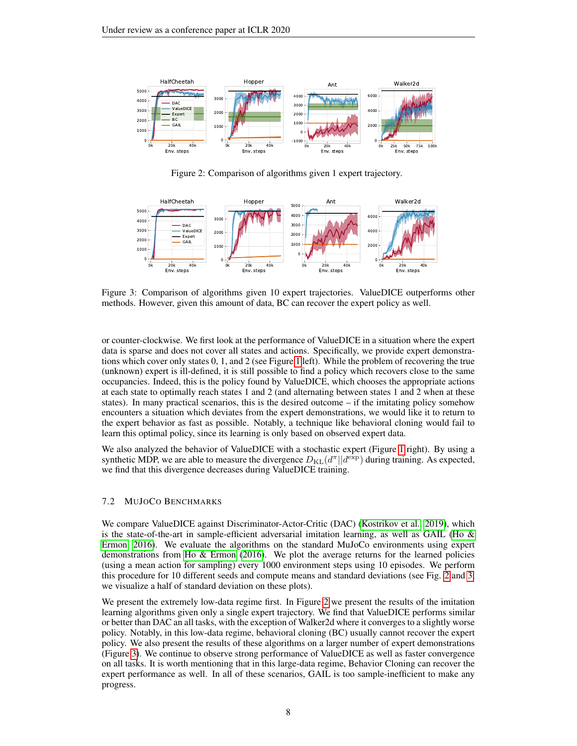

<span id="page-7-1"></span><span id="page-7-0"></span>Figure 2: Comparison of algorithms given 1 expert trajectory.



Figure 3: Comparison of algorithms given 10 expert trajectories. ValueDICE outperforms other methods. However, given this amount of data, BC can recover the expert policy as well.

or counter-clockwise. We first look at the performance of ValueDICE in a situation where the expert data is sparse and does not cover all states and actions. Specifically, we provide expert demonstrations which cover only states 0, 1, and 2 (see Figure [1](#page-6-0) left). While the problem of recovering the true (unknown) expert is ill-defined, it is still possible to find a policy which recovers close to the same occupancies. Indeed, this is the policy found by ValueDICE, which chooses the appropriate actions at each state to optimally reach states 1 and 2 (and alternating between states 1 and 2 when at these states). In many practical scenarios, this is the desired outcome  $-$  if the imitating policy somehow encounters a situation which deviates from the expert demonstrations, we would like it to return to the expert behavior as fast as possible. Notably, a technique like behavioral cloning would fail to learn this optimal policy, since its learning is only based on observed expert data.

We also analyzed the behavior of ValueDICE with a stochastic expert (Figure [1](#page-6-0) right). By using a synthetic MDP, we are able to measure the divergence  $D_{KL}(d^{\pi}||d^{\exp})$  during training. As expected, we find that this divergence decreases during ValueDICE training.

### 7.2 MUJOCO BENCHMARKS

We compare ValueDICE against Discriminator-Actor-Critic (DAC) [\(Kostrikov et al., 2019\)](#page-9-3), which is the state-of-the-art in sample-efficient adversarial imitation learning, as well as GAIL [\(Ho &](#page-8-1) [Ermon, 2016\)](#page-8-1). We evaluate the algorithms on the standard MuJoCo environments using expert demonstrations from [Ho & Ermon](#page-8-1) [\(2016\)](#page-8-1). We plot the average returns for the learned policies (using a mean action for sampling) every 1000 environment steps using 10 episodes. We perform this procedure for 10 different seeds and compute means and standard deviations (see Fig. [2](#page-7-0) and [3,](#page-7-1) we visualize a half of standard deviation on these plots).

We present the extremely low-data regime first. In Figure [2](#page-7-0) we present the results of the imitation learning algorithms given only a single expert trajectory. We find that ValueDICE performs similar or better than DAC an all tasks, with the exception of Walker2d where it converges to a slightly worse policy. Notably, in this low-data regime, behavioral cloning (BC) usually cannot recover the expert policy. We also present the results of these algorithms on a larger number of expert demonstrations (Figure [3\)](#page-7-1). We continue to observe strong performance of ValueDICE as well as faster convergence on all tasks. It is worth mentioning that in this large-data regime, Behavior Cloning can recover the expert performance as well. In all of these scenarios, GAIL is too sample-inefficient to make any progress.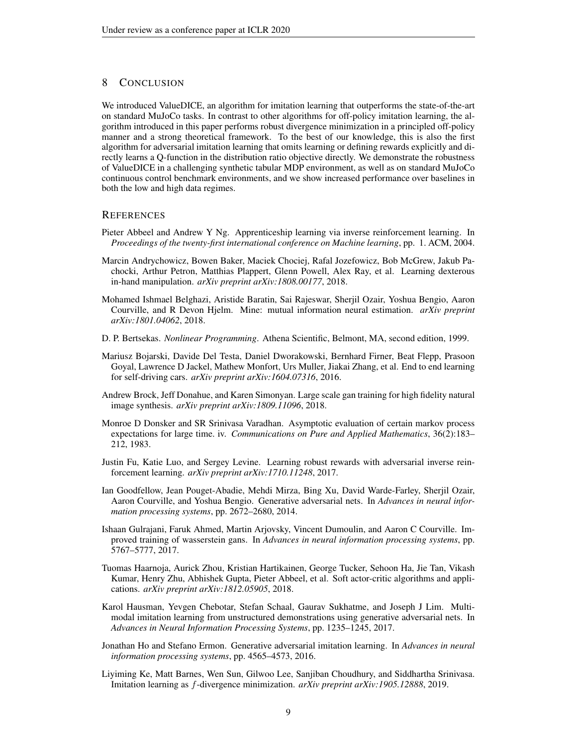# 8 CONCLUSION

We introduced ValueDICE, an algorithm for imitation learning that outperforms the state-of-the-art on standard MuJoCo tasks. In contrast to other algorithms for off-policy imitation learning, the algorithm introduced in this paper performs robust divergence minimization in a principled off-policy manner and a strong theoretical framework. To the best of our knowledge, this is also the first algorithm for adversarial imitation learning that omits learning or defining rewards explicitly and directly learns a Q-function in the distribution ratio objective directly. We demonstrate the robustness of ValueDICE in a challenging synthetic tabular MDP environment, as well as on standard MuJoCo continuous control benchmark environments, and we show increased performance over baselines in both the low and high data regimes.

### **REFERENCES**

- <span id="page-8-5"></span>Pieter Abbeel and Andrew Y Ng. Apprenticeship learning via inverse reinforcement learning. In *Proceedings of the twenty-first international conference on Machine learning*, pp. 1. ACM, 2004.
- <span id="page-8-0"></span>Marcin Andrychowicz, Bowen Baker, Maciek Chociej, Rafal Jozefowicz, Bob McGrew, Jakub Pachocki, Arthur Petron, Matthias Plappert, Glenn Powell, Alex Ray, et al. Learning dexterous in-hand manipulation. *arXiv preprint arXiv:1808.00177*, 2018.
- <span id="page-8-10"></span>Mohamed Ishmael Belghazi, Aristide Baratin, Sai Rajeswar, Sherjil Ozair, Yoshua Bengio, Aaron Courville, and R Devon Hjelm. Mine: mutual information neural estimation. *arXiv preprint arXiv:1801.04062*, 2018.
- <span id="page-8-8"></span>D. P. Bertsekas. *Nonlinear Programming*. Athena Scientific, Belmont, MA, second edition, 1999.
- <span id="page-8-6"></span>Mariusz Bojarski, Davide Del Testa, Daniel Dworakowski, Bernhard Firner, Beat Flepp, Prasoon Goyal, Lawrence D Jackel, Mathew Monfort, Urs Muller, Jiakai Zhang, et al. End to end learning for self-driving cars. *arXiv preprint arXiv:1604.07316*, 2016.
- <span id="page-8-13"></span>Andrew Brock, Jeff Donahue, and Karen Simonyan. Large scale gan training for high fidelity natural image synthesis. *arXiv preprint arXiv:1809.11096*, 2018.
- <span id="page-8-7"></span>Monroe D Donsker and SR Srinivasa Varadhan. Asymptotic evaluation of certain markov process expectations for large time. iv. *Communications on Pure and Applied Mathematics*, 36(2):183– 212, 1983.
- <span id="page-8-2"></span>Justin Fu, Katie Luo, and Sergey Levine. Learning robust rewards with adversarial inverse reinforcement learning. *arXiv preprint arXiv:1710.11248*, 2017.
- <span id="page-8-4"></span>Ian Goodfellow, Jean Pouget-Abadie, Mehdi Mirza, Bing Xu, David Warde-Farley, Sherjil Ozair, Aaron Courville, and Yoshua Bengio. Generative adversarial nets. In *Advances in neural information processing systems*, pp. 2672–2680, 2014.
- <span id="page-8-12"></span>Ishaan Gulrajani, Faruk Ahmed, Martin Arjovsky, Vincent Dumoulin, and Aaron C Courville. Improved training of wasserstein gans. In *Advances in neural information processing systems*, pp. 5767–5777, 2017.
- <span id="page-8-9"></span>Tuomas Haarnoja, Aurick Zhou, Kristian Hartikainen, George Tucker, Sehoon Ha, Jie Tan, Vikash Kumar, Henry Zhu, Abhishek Gupta, Pieter Abbeel, et al. Soft actor-critic algorithms and applications. *arXiv preprint arXiv:1812.05905*, 2018.
- <span id="page-8-11"></span>Karol Hausman, Yevgen Chebotar, Stefan Schaal, Gaurav Sukhatme, and Joseph J Lim. Multimodal imitation learning from unstructured demonstrations using generative adversarial nets. In *Advances in Neural Information Processing Systems*, pp. 1235–1245, 2017.
- <span id="page-8-1"></span>Jonathan Ho and Stefano Ermon. Generative adversarial imitation learning. In *Advances in neural information processing systems*, pp. 4565–4573, 2016.
- <span id="page-8-3"></span>Liyiming Ke, Matt Barnes, Wen Sun, Gilwoo Lee, Sanjiban Choudhury, and Siddhartha Srinivasa. Imitation learning as f-divergence minimization. *arXiv preprint arXiv:1905.12888*, 2019.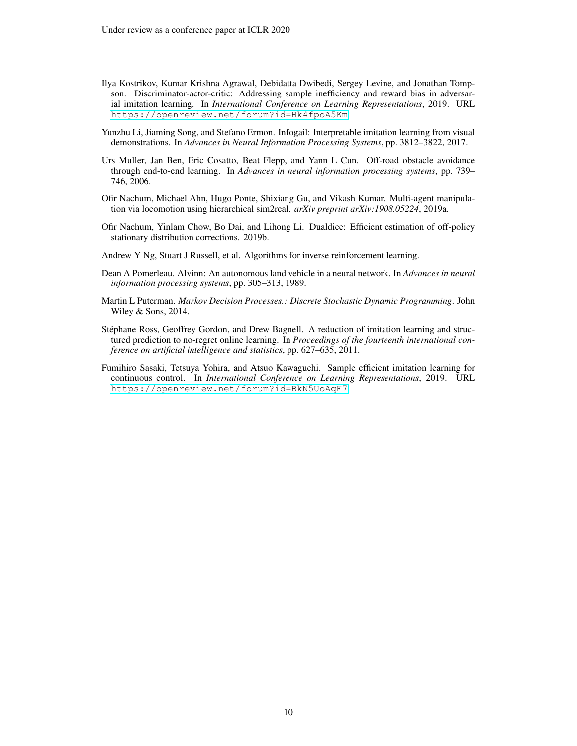- <span id="page-9-3"></span>Ilya Kostrikov, Kumar Krishna Agrawal, Debidatta Dwibedi, Sergey Levine, and Jonathan Tompson. Discriminator-actor-critic: Addressing sample inefficiency and reward bias in adversarial imitation learning. In *International Conference on Learning Representations*, 2019. URL <https://openreview.net/forum?id=Hk4fpoA5Km>.
- <span id="page-9-9"></span>Yunzhu Li, Jiaming Song, and Stefano Ermon. Infogail: Interpretable imitation learning from visual demonstrations. In *Advances in Neural Information Processing Systems*, pp. 3812–3822, 2017.
- <span id="page-9-6"></span>Urs Muller, Jan Ben, Eric Cosatto, Beat Flepp, and Yann L Cun. Off-road obstacle avoidance through end-to-end learning. In *Advances in neural information processing systems*, pp. 739– 746, 2006.
- <span id="page-9-0"></span>Ofir Nachum, Michael Ahn, Hugo Ponte, Shixiang Gu, and Vikash Kumar. Multi-agent manipulation via locomotion using hierarchical sim2real. *arXiv preprint arXiv:1908.05224*, 2019a.
- <span id="page-9-8"></span>Ofir Nachum, Yinlam Chow, Bo Dai, and Lihong Li. Dualdice: Efficient estimation of off-policy stationary distribution corrections. 2019b.
- <span id="page-9-1"></span>Andrew Y Ng, Stuart J Russell, et al. Algorithms for inverse reinforcement learning.
- <span id="page-9-2"></span>Dean A Pomerleau. Alvinn: An autonomous land vehicle in a neural network. In *Advances in neural information processing systems*, pp. 305–313, 1989.
- <span id="page-9-5"></span>Martin L Puterman. *Markov Decision Processes.: Discrete Stochastic Dynamic Programming*. John Wiley & Sons, 2014.
- <span id="page-9-7"></span>Stephane Ross, Geoffrey Gordon, and Drew Bagnell. A reduction of imitation learning and struc- ´ tured prediction to no-regret online learning. In *Proceedings of the fourteenth international conference on artificial intelligence and statistics*, pp. 627–635, 2011.
- <span id="page-9-4"></span>Fumihiro Sasaki, Tetsuya Yohira, and Atsuo Kawaguchi. Sample efficient imitation learning for continuous control. In *International Conference on Learning Representations*, 2019. URL <https://openreview.net/forum?id=BkN5UoAqF7>.